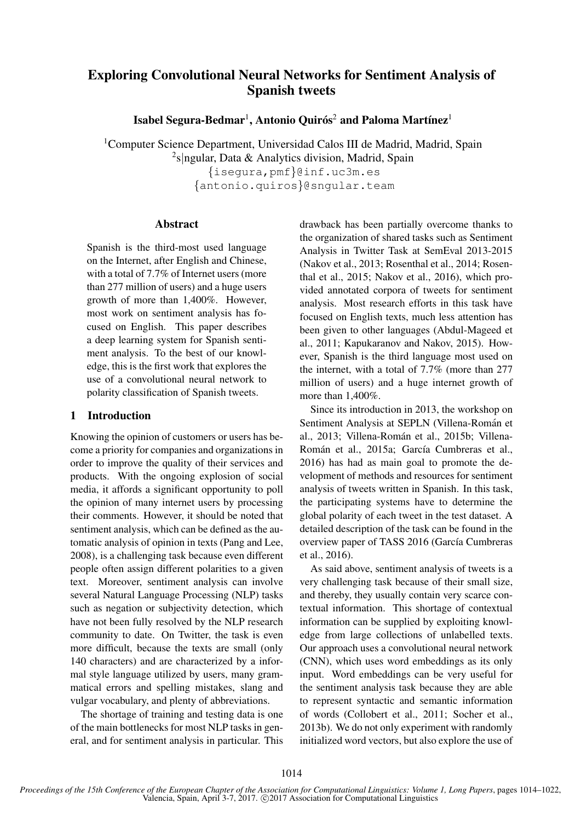# Exploring Convolutional Neural Networks for Sentiment Analysis of Spanish tweets

Isabel Segura-Bedmar $^{\rm l}$ , Antonio Quirós $^{\rm 2}$  and Paloma Martínez $^{\rm l}$ 

<sup>1</sup>Computer Science Department, Universidad Calos III de Madrid, Madrid, Spain <sup>2</sup>s|ngular, Data & Analytics division, Madrid, Spain {isegura,pmf}@inf.uc3m.es

{antonio.quiros}@sngular.team

#### Abstract

Spanish is the third-most used language on the Internet, after English and Chinese, with a total of 7.7% of Internet users (more than 277 million of users) and a huge users growth of more than 1,400%. However, most work on sentiment analysis has focused on English. This paper describes a deep learning system for Spanish sentiment analysis. To the best of our knowledge, this is the first work that explores the use of a convolutional neural network to polarity classification of Spanish tweets.

### 1 Introduction

Knowing the opinion of customers or users has become a priority for companies and organizations in order to improve the quality of their services and products. With the ongoing explosion of social media, it affords a significant opportunity to poll the opinion of many internet users by processing their comments. However, it should be noted that sentiment analysis, which can be defined as the automatic analysis of opinion in texts (Pang and Lee, 2008), is a challenging task because even different people often assign different polarities to a given text. Moreover, sentiment analysis can involve several Natural Language Processing (NLP) tasks such as negation or subjectivity detection, which have not been fully resolved by the NLP research community to date. On Twitter, the task is even more difficult, because the texts are small (only 140 characters) and are characterized by a informal style language utilized by users, many grammatical errors and spelling mistakes, slang and vulgar vocabulary, and plenty of abbreviations.

The shortage of training and testing data is one of the main bottlenecks for most NLP tasks in general, and for sentiment analysis in particular. This drawback has been partially overcome thanks to the organization of shared tasks such as Sentiment Analysis in Twitter Task at SemEval 2013-2015 (Nakov et al., 2013; Rosenthal et al., 2014; Rosenthal et al., 2015; Nakov et al., 2016), which provided annotated corpora of tweets for sentiment analysis. Most research efforts in this task have focused on English texts, much less attention has been given to other languages (Abdul-Mageed et al., 2011; Kapukaranov and Nakov, 2015). However, Spanish is the third language most used on the internet, with a total of 7.7% (more than 277 million of users) and a huge internet growth of more than 1,400%.

Since its introduction in 2013, the workshop on Sentiment Analysis at SEPLN (Villena-Román et al., 2013; Villena-Román et al., 2015b; Villena-Román et al., 2015a; García Cumbreras et al., 2016) has had as main goal to promote the development of methods and resources for sentiment analysis of tweets written in Spanish. In this task, the participating systems have to determine the global polarity of each tweet in the test dataset. A detailed description of the task can be found in the overview paper of TASS 2016 (García Cumbreras et al., 2016).

As said above, sentiment analysis of tweets is a very challenging task because of their small size, and thereby, they usually contain very scarce contextual information. This shortage of contextual information can be supplied by exploiting knowledge from large collections of unlabelled texts. Our approach uses a convolutional neural network (CNN), which uses word embeddings as its only input. Word embeddings can be very useful for the sentiment analysis task because they are able to represent syntactic and semantic information of words (Collobert et al., 2011; Socher et al., 2013b). We do not only experiment with randomly initialized word vectors, but also explore the use of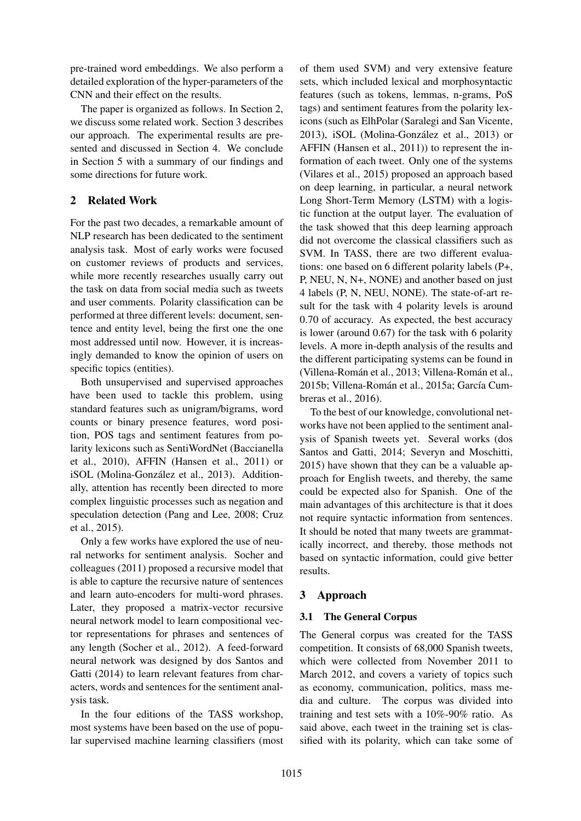pre-trained word embeddings. We also perform a detailed exploration of the hyper-parameters of the CNN and their effect on the results.

The paper is organized as follows. In Section 2, we discuss some related work. Section 3 describes our approach. The experimental results are presented and discussed in Section 4. We conclude in Section 5 with a summary of our findings and some directions for future work.

## 2 Related Work

For the past two decades, a remarkable amount of NLP research has been dedicated to the sentiment analysis task. Most of early works were focused on customer reviews of products and services, while more recently researches usually carry out the task on data from social media such as tweets and user comments. Polarity classification can be performed at three different levels: document, sentence and entity level, being the first one the one most addressed until now. However, it is increasingly demanded to know the opinion of users on specific topics (entities).

Both unsupervised and supervised approaches have been used to tackle this problem, using standard features such as unigram/bigrams, word counts or binary presence features, word position, POS tags and sentiment features from polarity lexicons such as SentiWordNet (Baccianella et al., 2010), AFFIN (Hansen et al., 2011) or iSOL (Molina-González et al., 2013). Additionally, attention has recently been directed to more complex linguistic processes such as negation and speculation detection (Pang and Lee, 2008; Cruz et al., 2015).

Only a few works have explored the use of neural networks for sentiment analysis. Socher and colleagues (2011) proposed a recursive model that is able to capture the recursive nature of sentences and learn auto-encoders for multi-word phrases. Later, they proposed a matrix-vector recursive neural network model to learn compositional vector representations for phrases and sentences of any length (Socher et al., 2012). A feed-forward neural network was designed by dos Santos and Gatti (2014) to learn relevant features from characters, words and sentences for the sentiment analysis task.

In the four editions of the TASS workshop, most systems have been based on the use of popular supervised machine learning classifiers (most

of them used SVM) and very extensive feature sets, which included lexical and morphosyntactic features (such as tokens, lemmas, n-grams, PoS tags) and sentiment features from the polarity lexicons (such as ElhPolar (Saralegi and San Vicente, 2013), iSOL (Molina-Gonzalez et al., 2013) or ´ AFFIN (Hansen et al., 2011)) to represent the information of each tweet. Only one of the systems (Vilares et al., 2015) proposed an approach based on deep learning, in particular, a neural network Long Short-Term Memory (LSTM) with a logistic function at the output layer. The evaluation of the task showed that this deep learning approach did not overcome the classical classifiers such as SVM. In TASS, there are two different evaluations: one based on 6 different polarity labels (P+, P, NEU, N, N+, NONE) and another based on just 4 labels (P, N, NEU, NONE). The state-of-art result for the task with 4 polarity levels is around 0.70 of accuracy. As expected, the best accuracy is lower (around 0.67) for the task with 6 polarity levels. A more in-depth analysis of the results and the different participating systems can be found in (Villena-Román et al., 2013; Villena-Román et al., 2015b; Villena-Román et al., 2015a; García Cumbreras et al., 2016).

To the best of our knowledge, convolutional networks have not been applied to the sentiment analysis of Spanish tweets yet. Several works (dos Santos and Gatti, 2014; Severyn and Moschitti, 2015) have shown that they can be a valuable approach for English tweets, and thereby, the same could be expected also for Spanish. One of the main advantages of this architecture is that it does not require syntactic information from sentences. It should be noted that many tweets are grammatically incorrect, and thereby, those methods not based on syntactic information, could give better results.

### 3 Approach

### 3.1 The General Corpus

The General corpus was created for the TASS competition. It consists of 68,000 Spanish tweets, which were collected from November 2011 to March 2012, and covers a variety of topics such as economy, communication, politics, mass media and culture. The corpus was divided into training and test sets with a 10%-90% ratio. As said above, each tweet in the training set is classified with its polarity, which can take some of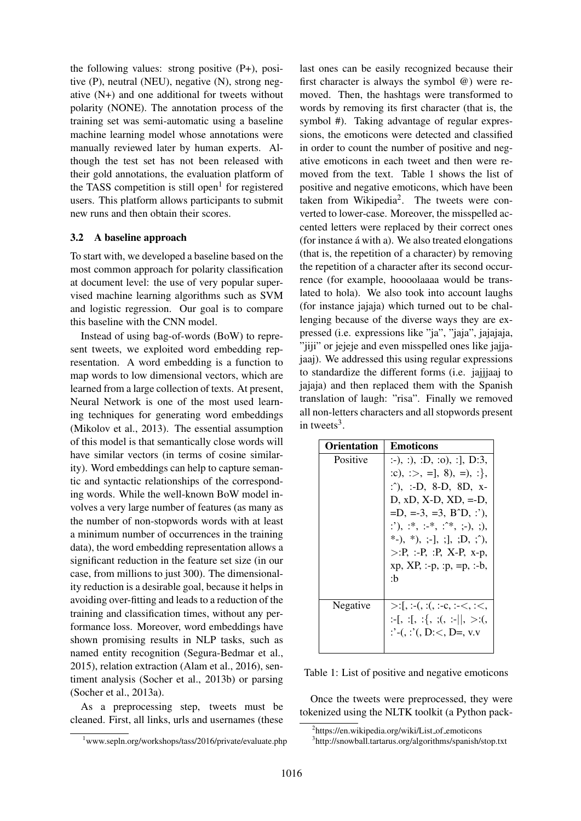the following values: strong positive (P+), positive (P), neutral (NEU), negative (N), strong negative (N+) and one additional for tweets without polarity (NONE). The annotation process of the training set was semi-automatic using a baseline machine learning model whose annotations were manually reviewed later by human experts. Although the test set has not been released with their gold annotations, the evaluation platform of the TASS competition is still open<sup>1</sup> for registered users. This platform allows participants to submit new runs and then obtain their scores.

#### 3.2 A baseline approach

To start with, we developed a baseline based on the most common approach for polarity classification at document level: the use of very popular supervised machine learning algorithms such as SVM and logistic regression. Our goal is to compare this baseline with the CNN model.

Instead of using bag-of-words (BoW) to represent tweets, we exploited word embedding representation. A word embedding is a function to map words to low dimensional vectors, which are learned from a large collection of texts. At present, Neural Network is one of the most used learning techniques for generating word embeddings (Mikolov et al., 2013). The essential assumption of this model is that semantically close words will have similar vectors (in terms of cosine similarity). Word embeddings can help to capture semantic and syntactic relationships of the corresponding words. While the well-known BoW model involves a very large number of features (as many as the number of non-stopwords words with at least a minimum number of occurrences in the training data), the word embedding representation allows a significant reduction in the feature set size (in our case, from millions to just 300). The dimensionality reduction is a desirable goal, because it helps in avoiding over-fitting and leads to a reduction of the training and classification times, without any performance loss. Moreover, word embeddings have shown promising results in NLP tasks, such as named entity recognition (Segura-Bedmar et al., 2015), relation extraction (Alam et al., 2016), sentiment analysis (Socher et al., 2013b) or parsing (Socher et al., 2013a).

As a preprocessing step, tweets must be cleaned. First, all links, urls and usernames (these

last ones can be easily recognized because their first character is always the symbol @) were removed. Then, the hashtags were transformed to words by removing its first character (that is, the symbol #). Taking advantage of regular expressions, the emoticons were detected and classified in order to count the number of positive and negative emoticons in each tweet and then were removed from the text. Table 1 shows the list of positive and negative emoticons, which have been taken from Wikipedia<sup>2</sup>. The tweets were converted to lower-case. Moreover, the misspelled accented letters were replaced by their correct ones (for instance á with a). We also treated elongations (that is, the repetition of a character) by removing the repetition of a character after its second occurrence (for example, hoooolaaaa would be translated to hola). We also took into account laughs (for instance jajaja) which turned out to be challenging because of the diverse ways they are expressed (i.e. expressions like "ja", "jaja", jajajaja, "jiji" or jejeje and even misspelled ones like jajjajaaj). We addressed this using regular expressions to standardize the different forms (i.e. jajjjaaj to jajaja) and then replaced them with the Spanish translation of laugh: "risa". Finally we removed all non-letters characters and all stopwords present in tweets<sup>3</sup>.

| <b>Orientation</b> | <b>Emoticons</b>                                                                                                                                                                                                                                                                                    |
|--------------------|-----------------------------------------------------------------------------------------------------------------------------------------------------------------------------------------------------------------------------------------------------------------------------------------------------|
| Positive           | $:$ -), :), :D, :o), :], D:3,<br>$:c), \Rightarrow$ =], 8), =), :},<br>$\therefore$ $\therefore$ D, 8-D, 8D, x-<br>$D, xD, X-D, XD, =D,$<br>$=D, =3, =3, B^D, :$<br>$:$ '), :*, :-*, :^*, ;-), ;),<br>*-), *), ;-], ;], ;D, ;^),<br>$>$ :P, :-P, :P, X-P, x-p,<br>$xp, XP, :-p, :p, =p, :-b,$<br>:h |
| Negative           | $>\;$ :[, :-(, :(, :-c, :-<, :<,<br>$:=[, :[, :{}, :{}, :=  , >:$<br>$: (-, : ', D: <, D=, v.v$                                                                                                                                                                                                     |

Table 1: List of positive and negative emoticons

Once the tweets were preprocessed, they were tokenized using the NLTK toolkit (a Python pack-

<sup>&</sup>lt;sup>1</sup>www.sepln.org/workshops/tass/2016/private/evaluate.php

<sup>&</sup>lt;sup>2</sup>https://en.wikipedia.org/wiki/List\_of\_emoticons

<sup>3</sup> http://snowball.tartarus.org/algorithms/spanish/stop.txt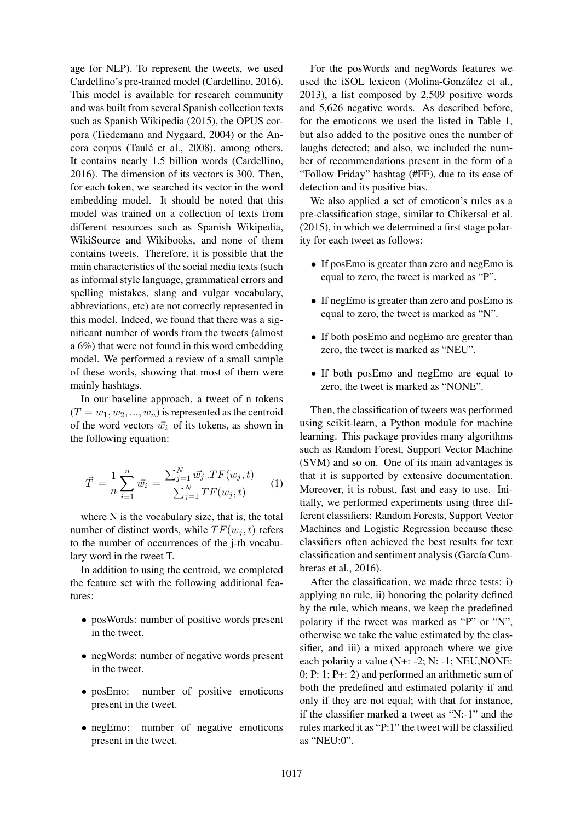age for NLP). To represent the tweets, we used Cardellino's pre-trained model (Cardellino, 2016). This model is available for research community and was built from several Spanish collection texts such as Spanish Wikipedia (2015), the OPUS corpora (Tiedemann and Nygaard, 2004) or the Ancora corpus (Taulé et al., 2008), among others. It contains nearly 1.5 billion words (Cardellino, 2016). The dimension of its vectors is 300. Then, for each token, we searched its vector in the word embedding model. It should be noted that this model was trained on a collection of texts from different resources such as Spanish Wikipedia, WikiSource and Wikibooks, and none of them contains tweets. Therefore, it is possible that the main characteristics of the social media texts (such as informal style language, grammatical errors and spelling mistakes, slang and vulgar vocabulary, abbreviations, etc) are not correctly represented in this model. Indeed, we found that there was a significant number of words from the tweets (almost a 6%) that were not found in this word embedding model. We performed a review of a small sample of these words, showing that most of them were mainly hashtags.

In our baseline approach, a tweet of n tokens  $(T = w_1, w_2, ..., w_n)$  is represented as the centroid of the word vectors  $\vec{w_i}$  of its tokens, as shown in the following equation:

$$
\vec{T} = \frac{1}{n} \sum_{i=1}^{n} \vec{w_i} = \frac{\sum_{j=1}^{N} \vec{w_j} \cdot TF(w_j, t)}{\sum_{j=1}^{N} TF(w_j, t)}
$$
(1)

where N is the vocabulary size, that is, the total number of distinct words, while  $TF(w_i, t)$  refers to the number of occurrences of the j-th vocabulary word in the tweet T.

In addition to using the centroid, we completed the feature set with the following additional features:

- posWords: number of positive words present in the tweet.
- negWords: number of negative words present in the tweet.
- posEmo: number of positive emoticons present in the tweet.
- negEmo: number of negative emoticons present in the tweet.

For the posWords and negWords features we used the iSOL lexicon (Molina-González et al., 2013), a list composed by 2,509 positive words and 5,626 negative words. As described before, for the emoticons we used the listed in Table 1, but also added to the positive ones the number of laughs detected; and also, we included the number of recommendations present in the form of a "Follow Friday" hashtag (#FF), due to its ease of detection and its positive bias.

We also applied a set of emoticon's rules as a pre-classification stage, similar to Chikersal et al. (2015), in which we determined a first stage polarity for each tweet as follows:

- If posEmo is greater than zero and negEmo is equal to zero, the tweet is marked as "P".
- If negEmo is greater than zero and posEmo is equal to zero, the tweet is marked as "N".
- If both posEmo and negEmo are greater than zero, the tweet is marked as "NEU".
- If both posEmo and negEmo are equal to zero, the tweet is marked as "NONE".

Then, the classification of tweets was performed using scikit-learn, a Python module for machine learning. This package provides many algorithms such as Random Forest, Support Vector Machine (SVM) and so on. One of its main advantages is that it is supported by extensive documentation. Moreover, it is robust, fast and easy to use. Initially, we performed experiments using three different classifiers: Random Forests, Support Vector Machines and Logistic Regression because these classifiers often achieved the best results for text classification and sentiment analysis (García Cumbreras et al., 2016).

After the classification, we made three tests: i) applying no rule, ii) honoring the polarity defined by the rule, which means, we keep the predefined polarity if the tweet was marked as "P" or "N", otherwise we take the value estimated by the classifier, and iii) a mixed approach where we give each polarity a value (N+: -2; N: -1; NEU,NONE: 0; P: 1; P+: 2) and performed an arithmetic sum of both the predefined and estimated polarity if and only if they are not equal; with that for instance, if the classifier marked a tweet as "N:-1" and the rules marked it as "P:1" the tweet will be classified as "NEU:0".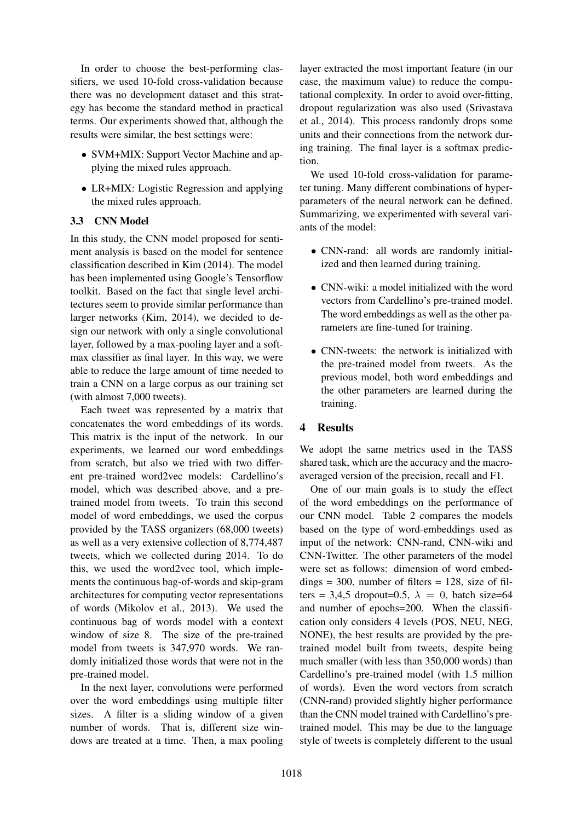In order to choose the best-performing classifiers, we used 10-fold cross-validation because there was no development dataset and this strategy has become the standard method in practical terms. Our experiments showed that, although the results were similar, the best settings were:

- SVM+MIX: Support Vector Machine and applying the mixed rules approach.
- LR+MIX: Logistic Regression and applying the mixed rules approach.

#### 3.3 CNN Model

In this study, the CNN model proposed for sentiment analysis is based on the model for sentence classification described in Kim (2014). The model has been implemented using Google's Tensorflow toolkit. Based on the fact that single level architectures seem to provide similar performance than larger networks (Kim, 2014), we decided to design our network with only a single convolutional layer, followed by a max-pooling layer and a softmax classifier as final layer. In this way, we were able to reduce the large amount of time needed to train a CNN on a large corpus as our training set (with almost 7,000 tweets).

Each tweet was represented by a matrix that concatenates the word embeddings of its words. This matrix is the input of the network. In our experiments, we learned our word embeddings from scratch, but also we tried with two different pre-trained word2vec models: Cardellino's model, which was described above, and a pretrained model from tweets. To train this second model of word embeddings, we used the corpus provided by the TASS organizers (68,000 tweets) as well as a very extensive collection of 8,774,487 tweets, which we collected during 2014. To do this, we used the word2vec tool, which implements the continuous bag-of-words and skip-gram architectures for computing vector representations of words (Mikolov et al., 2013). We used the continuous bag of words model with a context window of size 8. The size of the pre-trained model from tweets is 347,970 words. We randomly initialized those words that were not in the pre-trained model.

In the next layer, convolutions were performed over the word embeddings using multiple filter sizes. A filter is a sliding window of a given number of words. That is, different size windows are treated at a time. Then, a max pooling

layer extracted the most important feature (in our case, the maximum value) to reduce the computational complexity. In order to avoid over-fitting, dropout regularization was also used (Srivastava et al., 2014). This process randomly drops some units and their connections from the network during training. The final layer is a softmax prediction.

We used 10-fold cross-validation for parameter tuning. Many different combinations of hyperparameters of the neural network can be defined. Summarizing, we experimented with several variants of the model:

- CNN-rand: all words are randomly initialized and then learned during training.
- CNN-wiki: a model initialized with the word vectors from Cardellino's pre-trained model. The word embeddings as well as the other parameters are fine-tuned for training.
- CNN-tweets: the network is initialized with the pre-trained model from tweets. As the previous model, both word embeddings and the other parameters are learned during the training.

#### 4 Results

We adopt the same metrics used in the TASS shared task, which are the accuracy and the macroaveraged version of the precision, recall and F1.

One of our main goals is to study the effect of the word embeddings on the performance of our CNN model. Table 2 compares the models based on the type of word-embeddings used as input of the network: CNN-rand, CNN-wiki and CNN-Twitter. The other parameters of the model were set as follows: dimension of word embed $dings = 300$ , number of filters = 128, size of filters = 3,4,5 dropout=0.5,  $\lambda = 0$ , batch size=64 and number of epochs=200. When the classification only considers 4 levels (POS, NEU, NEG, NONE), the best results are provided by the pretrained model built from tweets, despite being much smaller (with less than 350,000 words) than Cardellino's pre-trained model (with 1.5 million of words). Even the word vectors from scratch (CNN-rand) provided slightly higher performance than the CNN model trained with Cardellino's pretrained model. This may be due to the language style of tweets is completely different to the usual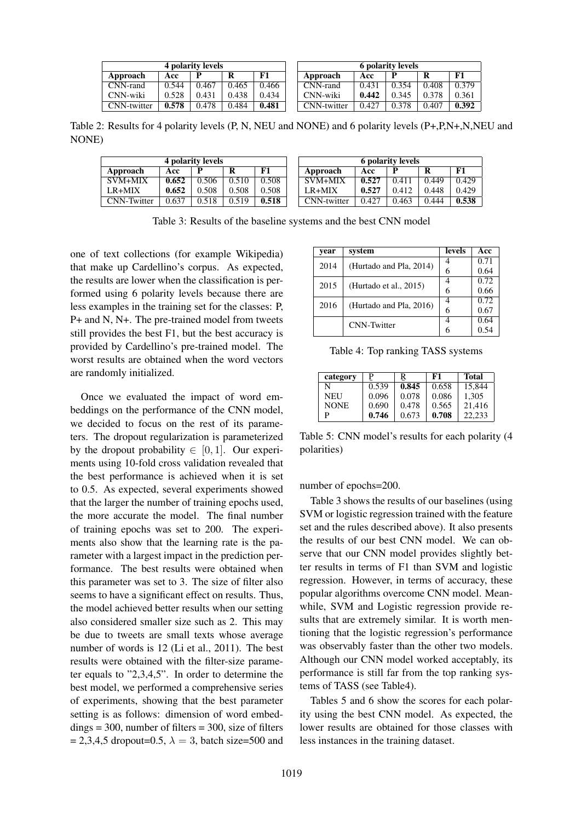| 4 polarity levels  |       |       |       | <b>6 polarity levels</b> |             |       |       |       |       |
|--------------------|-------|-------|-------|--------------------------|-------------|-------|-------|-------|-------|
| Approach           | Acc   |       |       | F1                       | Approach    | Acc   | P     | R     | F1    |
| CNN-rand           | 0.544 | 0.467 | 0.465 | 0.466                    | CNN-rand    | 0.431 | 0.354 | 0.408 | 0.379 |
| CNN-wiki           | 0.528 | 0.431 | 0.438 | 0.434                    | CNN-wiki    | 0.442 | 0.345 | 0.378 | 0.361 |
| <b>CNN-twitter</b> | 0.578 | 0.478 | 0.484 | 0.481                    | CNN-twitter | 0.427 | 0.378 | 0.407 | 0.392 |

Table 2: Results for 4 polarity levels (P, N, NEU and NONE) and 6 polarity levels (P+,P,N+,N,NEU and NONE)

| 4 polarity levels  |       |       |       | <b>6 polarity levels</b> |             |       |       |       |            |
|--------------------|-------|-------|-------|--------------------------|-------------|-------|-------|-------|------------|
| Approach           | Acc   |       |       | F1                       | Approach    | Acc   | D     | R     | ${\bf F1}$ |
| $SVM+MIX$          | 0.652 | 0.506 | 0.510 | 0.508                    | SVM+MIX     | 0.527 | 0.411 | 0.449 | 0.429      |
| $LR+MIX$           | 0.652 | 0.508 | 0.508 | 0.508                    | $LR+MIX$    | 0.527 | 0.412 | 0.448 | 0.429      |
| <b>CNN-Twitter</b> | 0.637 | 2.518 | 0.519 | 0.518                    | CNN-twitter | 0.427 | 0.463 | 0.444 | 0.538      |

Table 3: Results of the baseline systems and the best CNN model

one of text collections (for example Wikipedia) that make up Cardellino's corpus. As expected, the results are lower when the classification is performed using 6 polarity levels because there are less examples in the training set for the classes: P, P+ and N, N+. The pre-trained model from tweets still provides the best F1, but the best accuracy is provided by Cardellino's pre-trained model. The worst results are obtained when the word vectors are randomly initialized.

Once we evaluated the impact of word embeddings on the performance of the CNN model, we decided to focus on the rest of its parameters. The dropout regularization is parameterized by the dropout probability  $\in [0, 1]$ . Our experiments using 10-fold cross validation revealed that the best performance is achieved when it is set to 0.5. As expected, several experiments showed that the larger the number of training epochs used, the more accurate the model. The final number of training epochs was set to 200. The experiments also show that the learning rate is the parameter with a largest impact in the prediction performance. The best results were obtained when this parameter was set to 3. The size of filter also seems to have a significant effect on results. Thus, the model achieved better results when our setting also considered smaller size such as 2. This may be due to tweets are small texts whose average number of words is 12 (Li et al., 2011). The best results were obtained with the filter-size parameter equals to "2,3,4,5". In order to determine the best model, we performed a comprehensive series of experiments, showing that the best parameter setting is as follows: dimension of word embed- $\text{dings} = 300$ , number of filters = 300, size of filters  $= 2,3,4,5$  dropout=0.5,  $\lambda = 3$ , batch size=500 and

| year | system                  | levels | Acc  |
|------|-------------------------|--------|------|
| 2014 | (Hurtado and Pla, 2014) |        | 0.71 |
|      |                         | 6      | 0.64 |
| 2015 | (Hurtado et al., 2015)  |        | 0.72 |
|      |                         | 6      | 0.66 |
| 2016 | (Hurtado and Pla, 2016) |        | 0.72 |
|      |                         | 6      | 0.67 |
|      | <b>CNN-Twitter</b>      |        | 0.64 |
|      |                         | 6      | 0.54 |

Table 4: Top ranking TASS systems

| category    |       | R     | F1    | Total  |
|-------------|-------|-------|-------|--------|
| N           | 0.539 | 0.845 | 0.658 | 15,844 |
| <b>NEU</b>  | 0.096 | 0.078 | 0.086 | 1.305  |
| <b>NONE</b> | 0.690 | 0.478 | 0.565 | 21,416 |
| P           | 0.746 | 0.673 | 0.708 | 22.233 |

Table 5: CNN model's results for each polarity (4 polarities)

number of epochs=200.

Table 3 shows the results of our baselines (using SVM or logistic regression trained with the feature set and the rules described above). It also presents the results of our best CNN model. We can observe that our CNN model provides slightly better results in terms of F1 than SVM and logistic regression. However, in terms of accuracy, these popular algorithms overcome CNN model. Meanwhile, SVM and Logistic regression provide results that are extremely similar. It is worth mentioning that the logistic regression's performance was observably faster than the other two models. Although our CNN model worked acceptably, its performance is still far from the top ranking systems of TASS (see Table4).

Tables 5 and 6 show the scores for each polarity using the best CNN model. As expected, the lower results are obtained for those classes with less instances in the training dataset.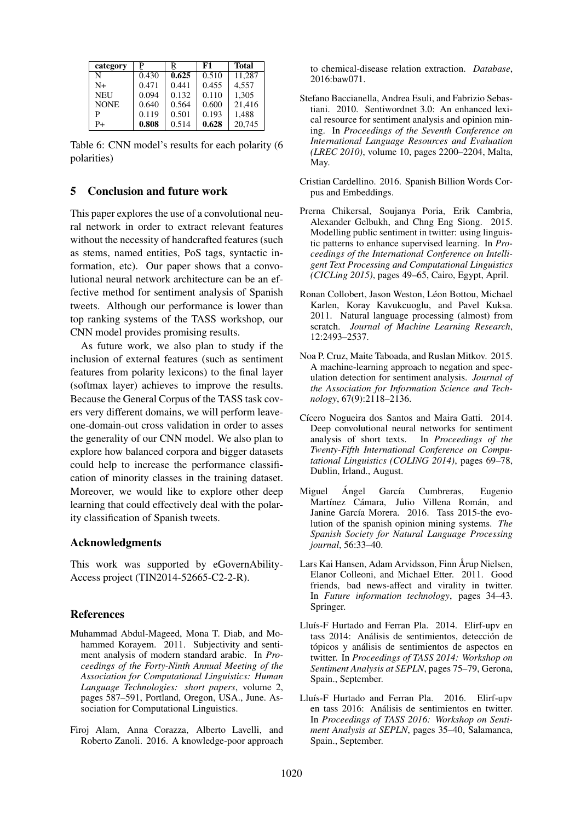| category    | P     | R     | F1    | <b>Total</b> |
|-------------|-------|-------|-------|--------------|
| N           | 0.430 | 0.625 | 0.510 | 11.287       |
| N+          | 0.471 | 0.441 | 0.455 | 4,557        |
| <b>NEU</b>  | 0.094 | 0.132 | 0.110 | 1.305        |
| <b>NONE</b> | 0.640 | 0.564 | 0.600 | 21,416       |
| P           | 0.119 | 0.501 | 0.193 | 1,488        |
| $P+$        | 0.808 | 0.514 | 0.628 | 20.745       |

Table 6: CNN model's results for each polarity (6 polarities)

#### 5 Conclusion and future work

This paper explores the use of a convolutional neural network in order to extract relevant features without the necessity of handcrafted features (such as stems, named entities, PoS tags, syntactic information, etc). Our paper shows that a convolutional neural network architecture can be an effective method for sentiment analysis of Spanish tweets. Although our performance is lower than top ranking systems of the TASS workshop, our CNN model provides promising results.

As future work, we also plan to study if the inclusion of external features (such as sentiment features from polarity lexicons) to the final layer (softmax layer) achieves to improve the results. Because the General Corpus of the TASS task covers very different domains, we will perform leaveone-domain-out cross validation in order to asses the generality of our CNN model. We also plan to explore how balanced corpora and bigger datasets could help to increase the performance classification of minority classes in the training dataset. Moreover, we would like to explore other deep learning that could effectively deal with the polarity classification of Spanish tweets.

#### Acknowledgments

This work was supported by eGovernAbility-Access project (TIN2014-52665-C2-2-R).

#### References

- Muhammad Abdul-Mageed, Mona T. Diab, and Mohammed Korayem. 2011. Subjectivity and sentiment analysis of modern standard arabic. In *Proceedings of the Forty-Ninth Annual Meeting of the Association for Computational Linguistics: Human Language Technologies: short papers*, volume 2, pages 587–591, Portland, Oregon, USA., June. Association for Computational Linguistics.
- Firoj Alam, Anna Corazza, Alberto Lavelli, and Roberto Zanoli. 2016. A knowledge-poor approach

to chemical-disease relation extraction. *Database*, 2016:baw071.

- Stefano Baccianella, Andrea Esuli, and Fabrizio Sebastiani. 2010. Sentiwordnet 3.0: An enhanced lexical resource for sentiment analysis and opinion mining. In *Proceedings of the Seventh Conference on International Language Resources and Evaluation (LREC 2010)*, volume 10, pages 2200–2204, Malta, May.
- Cristian Cardellino. 2016. Spanish Billion Words Corpus and Embeddings.
- Prerna Chikersal, Soujanya Poria, Erik Cambria, Alexander Gelbukh, and Chng Eng Siong. 2015. Modelling public sentiment in twitter: using linguistic patterns to enhance supervised learning. In *Proceedings of the International Conference on Intelligent Text Processing and Computational Linguistics (CICLing 2015)*, pages 49–65, Cairo, Egypt, April.
- Ronan Collobert, Jason Weston, Léon Bottou, Michael Karlen, Koray Kavukcuoglu, and Pavel Kuksa. 2011. Natural language processing (almost) from scratch. *Journal of Machine Learning Research*, 12:2493–2537.
- Noa P. Cruz, Maite Taboada, and Ruslan Mitkov. 2015. A machine-learning approach to negation and speculation detection for sentiment analysis. *Journal of the Association for Information Science and Technology*, 67(9):2118–2136.
- Cícero Nogueira dos Santos and Maira Gatti. 2014. Deep convolutional neural networks for sentiment analysis of short texts. In *Proceedings of the Twenty-Fifth International Conference on Computational Linguistics (COLING 2014)*, pages 69–78, Dublin, Irland., August.
- Miguel Angel García Cumbreras, Eugenio Martínez Cámara, Julio Villena Román, and Janine García Morera. 2016. Tass 2015-the evolution of the spanish opinion mining systems. *The Spanish Society for Natural Language Processing journal*, 56:33–40.
- Lars Kai Hansen, Adam Arvidsson, Finn Årup Nielsen, Elanor Colleoni, and Michael Etter. 2011. Good friends, bad news-affect and virality in twitter. In *Future information technology*, pages 34–43. Springer.
- Lluís-F Hurtado and Ferran Pla. 2014. Elirf-upv en tass 2014: Análisis de sentimientos, detección de tópicos y análisis de sentimientos de aspectos en twitter. In *Proceedings of TASS 2014: Workshop on Sentiment Analysis at SEPLN*, pages 75–79, Gerona, Spain., September.
- Lluís-F Hurtado and Ferran Pla. 2016. Elirf-upv en tass 2016: Análisis de sentimientos en twitter. In *Proceedings of TASS 2016: Workshop on Sentiment Analysis at SEPLN*, pages 35–40, Salamanca, Spain., September.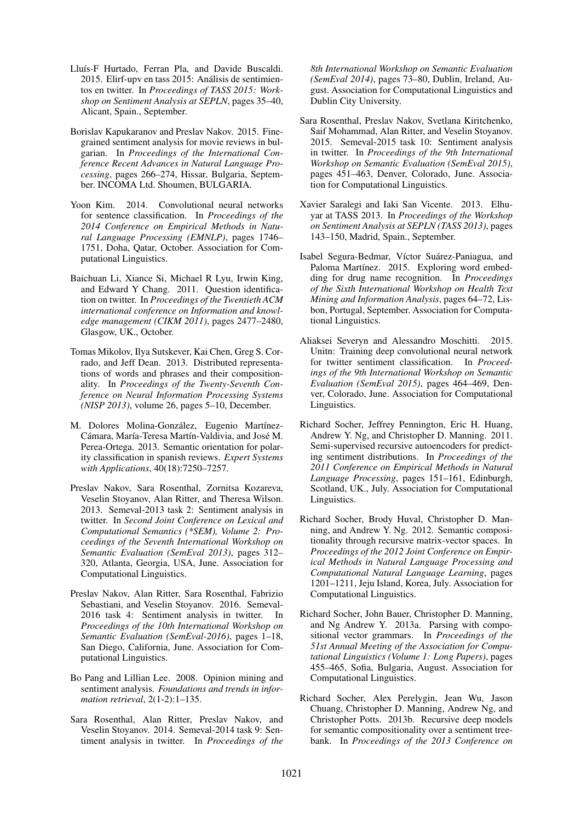- Lluís-F Hurtado, Ferran Pla, and Davide Buscaldi. 2015. Elirf-upv en tass 2015: Análisis de sentimientos en twitter. In *Proceedings of TASS 2015: Workshop on Sentiment Analysis at SEPLN*, pages 35–40, Alicant, Spain., September.
- Borislav Kapukaranov and Preslav Nakov. 2015. Finegrained sentiment analysis for movie reviews in bulgarian. In *Proceedings of the International Conference Recent Advances in Natural Language Processing*, pages 266–274, Hissar, Bulgaria, September. INCOMA Ltd. Shoumen, BULGARIA.
- Yoon Kim. 2014. Convolutional neural networks for sentence classification. In *Proceedings of the 2014 Conference on Empirical Methods in Natural Language Processing (EMNLP)*, pages 1746– 1751, Doha, Qatar, October. Association for Computational Linguistics.
- Baichuan Li, Xiance Si, Michael R Lyu, Irwin King, and Edward Y Chang. 2011. Question identification on twitter. In *Proceedings of the Twentieth ACM international conference on Information and knowledge management (CIKM 2011)*, pages 2477–2480, Glasgow, UK., October.
- Tomas Mikolov, Ilya Sutskever, Kai Chen, Greg S. Corrado, and Jeff Dean. 2013. Distributed representations of words and phrases and their compositionality. In *Proceedings of the Twenty-Seventh Conference on Neural Information Processing Systems (NISP 2013)*, volume 26, pages 5–10, December.
- M. Dolores Molina-González, Eugenio Martínez-Cámara, María-Teresa Martín-Valdivia, and José M. Perea-Ortega. 2013. Semantic orientation for polarity classification in spanish reviews. *Expert Systems with Applications*, 40(18):7250–7257.
- Preslav Nakov, Sara Rosenthal, Zornitsa Kozareva, Veselin Stoyanov, Alan Ritter, and Theresa Wilson. 2013. Semeval-2013 task 2: Sentiment analysis in twitter. In *Second Joint Conference on Lexical and Computational Semantics (\*SEM), Volume 2: Proceedings of the Seventh International Workshop on Semantic Evaluation (SemEval 2013)*, pages 312– 320, Atlanta, Georgia, USA, June. Association for Computational Linguistics.
- Preslav Nakov, Alan Ritter, Sara Rosenthal, Fabrizio Sebastiani, and Veselin Stoyanov. 2016. Semeval-2016 task 4: Sentiment analysis in twitter. In *Proceedings of the 10th International Workshop on Semantic Evaluation (SemEval-2016)*, pages 1–18, San Diego, California, June. Association for Computational Linguistics.
- Bo Pang and Lillian Lee. 2008. Opinion mining and sentiment analysis. *Foundations and trends in information retrieval*, 2(1-2):1–135.
- Sara Rosenthal, Alan Ritter, Preslav Nakov, and Veselin Stoyanov. 2014. Semeval-2014 task 9: Sentiment analysis in twitter. In *Proceedings of the*

*8th International Workshop on Semantic Evaluation (SemEval 2014)*, pages 73–80, Dublin, Ireland, August. Association for Computational Linguistics and Dublin City University.

- Sara Rosenthal, Preslav Nakov, Svetlana Kiritchenko, Saif Mohammad, Alan Ritter, and Veselin Stoyanov. 2015. Semeval-2015 task 10: Sentiment analysis in twitter. In *Proceedings of the 9th International Workshop on Semantic Evaluation (SemEval 2015)*, pages 451–463, Denver, Colorado, June. Association for Computational Linguistics.
- Xavier Saralegi and Iaki San Vicente. 2013. Elhuyar at TASS 2013. In *Proceedings of the Workshop on Sentiment Analysis at SEPLN (TASS 2013)*, pages 143–150, Madrid, Spain., September.
- Isabel Segura-Bedmar, Víctor Suárez-Paniagua, and Paloma Martínez. 2015. Exploring word embedding for drug name recognition. In *Proceedings of the Sixth International Workshop on Health Text Mining and Information Analysis*, pages 64–72, Lisbon, Portugal, September. Association for Computational Linguistics.
- Aliaksei Severyn and Alessandro Moschitti. 2015. Unitn: Training deep convolutional neural network for twitter sentiment classification. In *Proceedings of the 9th International Workshop on Semantic Evaluation (SemEval 2015)*, pages 464–469, Denver, Colorado, June. Association for Computational Linguistics.
- Richard Socher, Jeffrey Pennington, Eric H. Huang, Andrew Y. Ng, and Christopher D. Manning. 2011. Semi-supervised recursive autoencoders for predicting sentiment distributions. In *Proceedings of the 2011 Conference on Empirical Methods in Natural Language Processing*, pages 151–161, Edinburgh, Scotland, UK., July. Association for Computational Linguistics.
- Richard Socher, Brody Huval, Christopher D. Manning, and Andrew Y. Ng. 2012. Semantic compositionality through recursive matrix-vector spaces. In *Proceedings of the 2012 Joint Conference on Empirical Methods in Natural Language Processing and Computational Natural Language Learning*, pages 1201–1211, Jeju Island, Korea, July. Association for Computational Linguistics.
- Richard Socher, John Bauer, Christopher D. Manning, and Ng Andrew Y. 2013a. Parsing with compositional vector grammars. In *Proceedings of the 51st Annual Meeting of the Association for Computational Linguistics (Volume 1: Long Papers)*, pages 455–465, Sofia, Bulgaria, August. Association for Computational Linguistics.
- Richard Socher, Alex Perelygin, Jean Wu, Jason Chuang, Christopher D. Manning, Andrew Ng, and Christopher Potts. 2013b. Recursive deep models for semantic compositionality over a sentiment treebank. In *Proceedings of the 2013 Conference on*